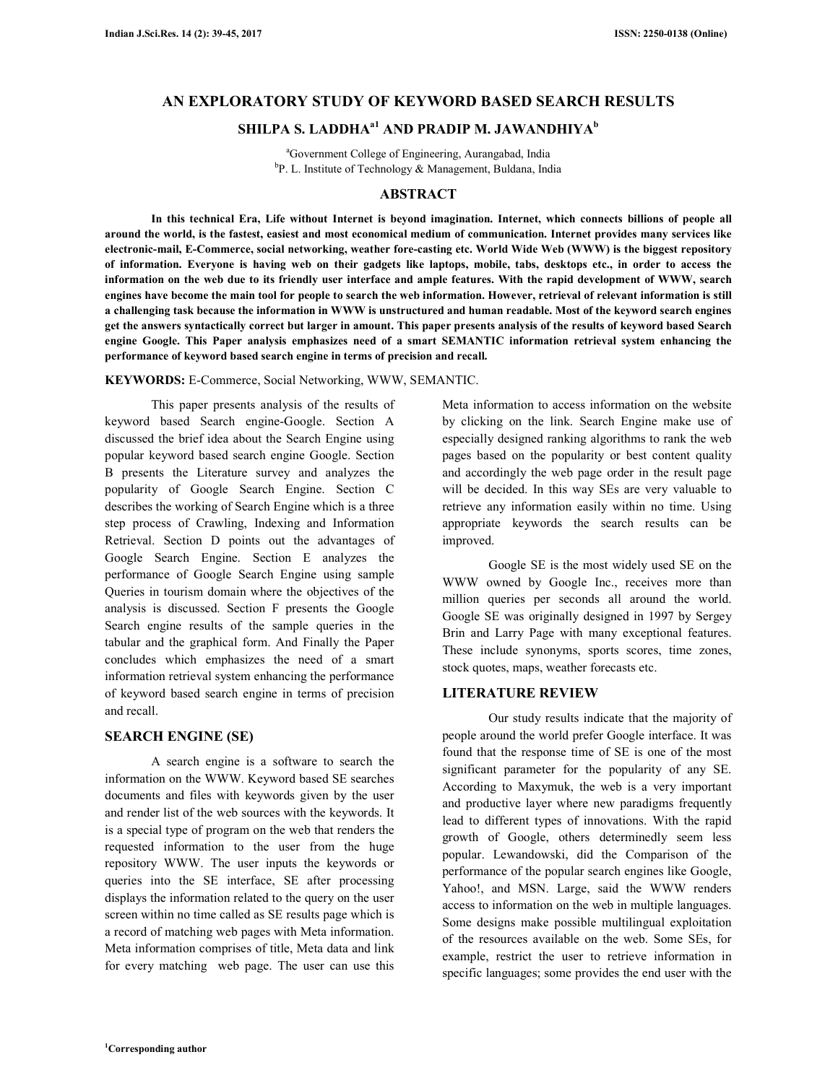# **AN EXPLORATORY STUDY OF KEYWORD BASED SEARCH RESULTS**

# **SHILPA S. LADDHAa1 AND PRADIP M. JAWANDHIYA<sup>b</sup>**

<sup>a</sup>Government College of Engineering, Aurangabad, India <sup>b</sup>P. L. Institute of Technology & Management, Buldana, India

# **ABSTRACT**

 **In this technical Era, Life without Internet is beyond imagination. Internet, which connects billions of people all around the world, is the fastest, easiest and most economical medium of communication. Internet provides many services like electronic-mail, E-Commerce, social networking, weather fore-casting etc. World Wide Web (WWW) is the biggest repository of information. Everyone is having web on their gadgets like laptops, mobile, tabs, desktops etc., in order to access the information on the web due to its friendly user interface and ample features. With the rapid development of WWW, search engines have become the main tool for people to search the web information. However, retrieval of relevant information is still a challenging task because the information in WWW is unstructured and human readable. Most of the keyword search engines get the answers syntactically correct but larger in amount. This paper presents analysis of the results of keyword based Search engine Google. This Paper analysis emphasizes need of a smart SEMANTIC information retrieval system enhancing the performance of keyword based search engine in terms of precision and recall.** 

**KEYWORDS:** E-Commerce, Social Networking, WWW, SEMANTIC.

 This paper presents analysis of the results of keyword based Search engine-Google. Section A discussed the brief idea about the Search Engine using popular keyword based search engine Google. Section B presents the Literature survey and analyzes the popularity of Google Search Engine. Section C describes the working of Search Engine which is a three step process of Crawling, Indexing and Information Retrieval. Section D points out the advantages of Google Search Engine. Section E analyzes the performance of Google Search Engine using sample Queries in tourism domain where the objectives of the analysis is discussed. Section F presents the Google Search engine results of the sample queries in the tabular and the graphical form. And Finally the Paper concludes which emphasizes the need of a smart information retrieval system enhancing the performance of keyword based search engine in terms of precision and recall.

# **SEARCH ENGINE (SE)**

 A search engine is a software to search the information on the WWW. Keyword based SE searches documents and files with keywords given by the user and render list of the web sources with the keywords. It is a special type of program on the web that renders the requested information to the user from the huge repository WWW. The user inputs the keywords or queries into the SE interface, SE after processing displays the information related to the query on the user screen within no time called as SE results page which is a record of matching web pages with Meta information. Meta information comprises of title, Meta data and link for every matching web page. The user can use this Meta information to access information on the website by clicking on the link. Search Engine make use of especially designed ranking algorithms to rank the web pages based on the popularity or best content quality and accordingly the web page order in the result page will be decided. In this way SEs are very valuable to retrieve any information easily within no time. Using appropriate keywords the search results can be improved.

 Google SE is the most widely used SE on the WWW owned by Google Inc., receives more than million queries per seconds all around the world. Google SE was originally designed in 1997 by Sergey Brin and Larry Page with many exceptional features. These include synonyms, sports scores, time zones, stock quotes, maps, weather forecasts etc.

#### **LITERATURE REVIEW**

 Our study results indicate that the majority of people around the world prefer Google interface. It was found that the response time of SE is one of the most significant parameter for the popularity of any SE. According to Maxymuk, the web is a very important and productive layer where new paradigms frequently lead to different types of innovations. With the rapid growth of Google, others determinedly seem less popular. Lewandowski, did the Comparison of the performance of the popular search engines like Google, Yahoo!, and MSN. Large, said the WWW renders access to information on the web in multiple languages. Some designs make possible multilingual exploitation of the resources available on the web. Some SEs, for example, restrict the user to retrieve information in specific languages; some provides the end user with the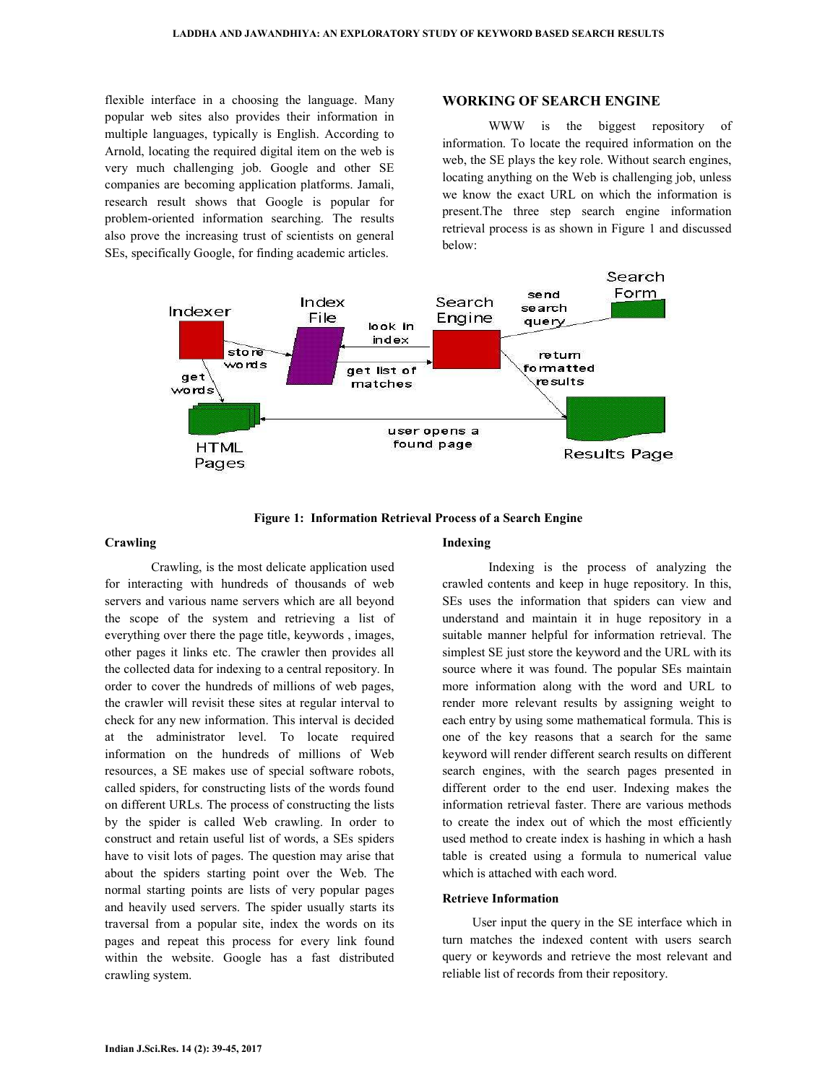flexible interface in a choosing the language. Many popular web sites also provides their information in multiple languages, typically is English. According to Arnold, locating the required digital item on the web is very much challenging job. Google and other SE companies are becoming application platforms. Jamali, research result shows that Google is popular for problem-oriented information searching. The results also prove the increasing trust of scientists on general SEs, specifically Google, for finding academic articles.

# **WORKING OF SEARCH ENGINE**

 WWW is the biggest repository of information. To locate the required information on the web, the SE plays the key role. Without search engines, locating anything on the Web is challenging job, unless we know the exact URL on which the information is present.The three step search engine information retrieval process is as shown in Figure 1 and discussed below:



**Figure 1: Information Retrieval Process of a Search Engine** 

# **Crawling**

 Crawling, is the most delicate application used for interacting with hundreds of thousands of web servers and various name servers which are all beyond the scope of the system and retrieving a list of everything over there the page title, keywords , images, other pages it links etc. The crawler then provides all the collected data for indexing to a central repository. In order to cover the hundreds of millions of web pages, the crawler will revisit these sites at regular interval to check for any new information. This interval is decided at the administrator level. To locate required information on the hundreds of millions of Web resources, a SE makes use of special software robots, called spiders, for constructing lists of the words found on different URLs. The process of constructing the lists by the spider is called Web crawling. In order to construct and retain useful list of words, a SEs spiders have to visit lots of pages. The question may arise that about the spiders starting point over the Web. The normal starting points are lists of very popular pages and heavily used servers. The spider usually starts its traversal from a popular site, index the words on its pages and repeat this process for every link found within the website. Google has a fast distributed crawling system.

### **Indexing**

 Indexing is the process of analyzing the crawled contents and keep in huge repository. In this, SEs uses the information that spiders can view and understand and maintain it in huge repository in a suitable manner helpful for information retrieval. The simplest SE just store the keyword and the URL with its source where it was found. The popular SEs maintain more information along with the word and URL to render more relevant results by assigning weight to each entry by using some mathematical formula. This is one of the key reasons that a search for the same keyword will render different search results on different search engines, with the search pages presented in different order to the end user. Indexing makes the information retrieval faster. There are various methods to create the index out of which the most efficiently used method to create index is hashing in which a hash table is created using a formula to numerical value which is attached with each word.

#### **Retrieve Information**

 User input the query in the SE interface which in turn matches the indexed content with users search query or keywords and retrieve the most relevant and reliable list of records from their repository.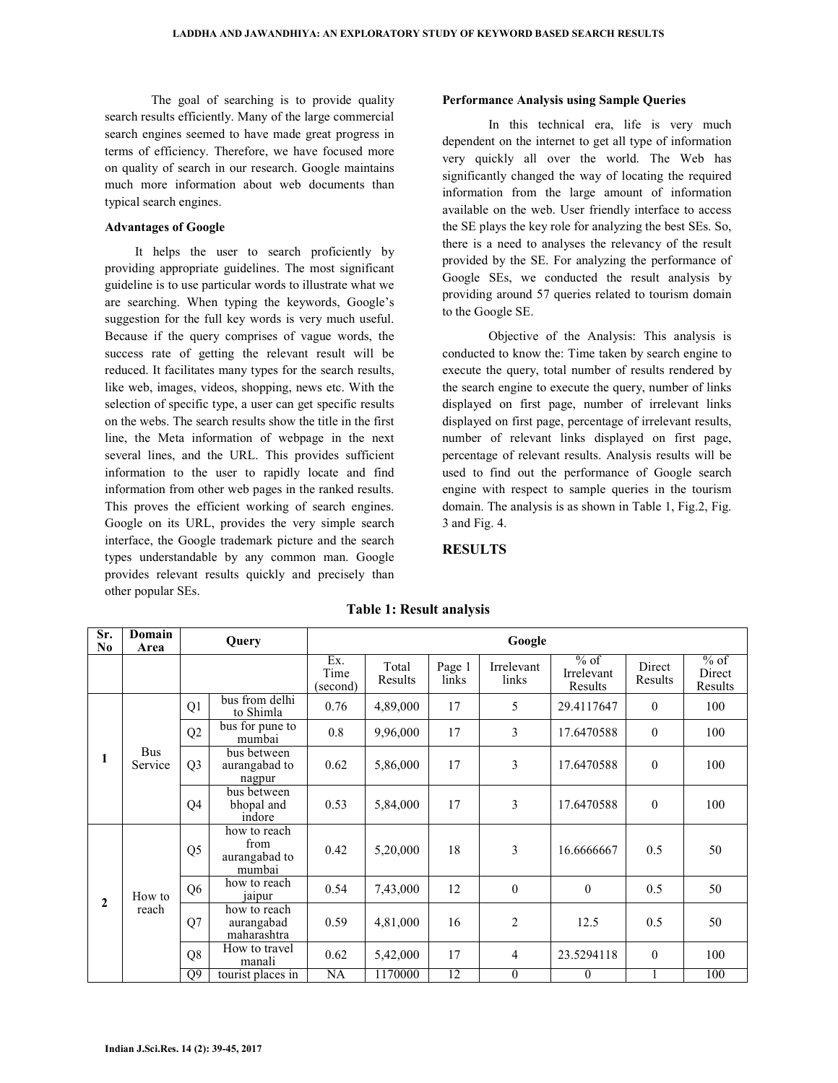The goal of searching is to provide quality search results efficiently. Many of the large commercial search engines seemed to have made great progress in terms of efficiency. Therefore, we have focused more on quality of search in our research. Google maintains much more information about web documents than typical search engines.

# **Advantages of Google**

 It helps the user to search proficiently by providing appropriate guidelines. The most significant guideline is to use particular words to illustrate what we are searching. When typing the keywords, Google's suggestion for the full key words is very much useful. Because if the query comprises of vague words, the success rate of getting the relevant result will be reduced. It facilitates many types for the search results, like web, images, videos, shopping, news etc. With the selection of specific type, a user can get specific results on the webs. The search results show the title in the first line, the Meta information of webpage in the next several lines, and the URL. This provides sufficient information to the user to rapidly locate and find information from other web pages in the ranked results. This proves the efficient working of search engines. Google on its URL, provides the very simple search interface, the Google trademark picture and the search types understandable by any common man. Google provides relevant results quickly and precisely than other popular SEs.

#### **Performance Analysis using Sample Queries**

 In this technical era, life is very much dependent on the internet to get all type of information very quickly all over the world. The Web has significantly changed the way of locating the required information from the large amount of information available on the web. User friendly interface to access the SE plays the key role for analyzing the best SEs. So, there is a need to analyses the relevancy of the result provided by the SE. For analyzing the performance of Google SEs, we conducted the result analysis by providing around 57 queries related to tourism domain to the Google SE.

 Objective of the Analysis: This analysis is conducted to know the: Time taken by search engine to execute the query, total number of results rendered by the search engine to execute the query, number of links displayed on first page, number of irrelevant links displayed on first page, percentage of irrelevant results, number of relevant links displayed on first page, percentage of relevant results. Analysis results will be used to find out the performance of Google search engine with respect to sample queries in the tourism domain. The analysis is as shown in Table 1, Fig.2, Fig. 3 and Fig. 4.

# **RESULTS**

| Sr.<br>N <sub>0</sub> | Domain<br>Area        | Query          |                                                 | Google                  |                  |                 |                     |                                 |                   |                             |  |
|-----------------------|-----------------------|----------------|-------------------------------------------------|-------------------------|------------------|-----------------|---------------------|---------------------------------|-------------------|-----------------------------|--|
|                       |                       |                |                                                 | Ex.<br>Time<br>(second) | Total<br>Results | Page 1<br>links | Irrelevant<br>links | $%$ of<br>Irrelevant<br>Results | Direct<br>Results | $%$ of<br>Direct<br>Results |  |
| 1                     | <b>Bus</b><br>Service | Q1             | bus from delhi<br>to Shimla                     | 0.76                    | 4,89,000         | 17              | 5                   | 29.4117647                      | $\mathbf{0}$      | 100                         |  |
|                       |                       | Q2             | bus for pune to<br>mumbai                       | 0.8                     | 9,96,000         | 17              | $\overline{3}$      | 17.6470588                      | $\boldsymbol{0}$  | 100                         |  |
|                       |                       | Q <sub>3</sub> | bus between<br>aurangabad to<br>nagpur          | 0.62                    | 5,86,000         | 17              | 3                   | 17.6470588                      | $\boldsymbol{0}$  | 100                         |  |
|                       |                       | Q4             | bus between<br>bhopal and<br>indore             | 0.53                    | 5,84,000         | 17              | 3                   | 17.6470588                      | $\mathbf{0}$      | 100                         |  |
| $\mathbf{2}$          | How to<br>reach       | Q5             | how to reach<br>from<br>aurangabad to<br>mumbai | 0.42                    | 5,20,000         | 18              | 3                   | 16.6666667                      | 0.5               | 50                          |  |
|                       |                       | Q <sub>6</sub> | how to reach<br>jaipur                          | 0.54                    | 7,43,000         | 12              | $\boldsymbol{0}$    | $\mathbf{0}$                    | 0.5               | 50                          |  |
|                       |                       | Q7             | how to reach<br>aurangabad<br>maharashtra       | 0.59                    | 4,81,000         | 16              | $\overline{c}$      | 12.5                            | 0.5               | 50                          |  |
|                       |                       | Q <sub>8</sub> | How to travel<br>manali                         | 0.62                    | 5,42,000         | 17              | $\overline{4}$      | 23.5294118                      | $\mathbf{0}$      | 100                         |  |
|                       |                       | Q9             | tourist places in                               | NA                      | 1170000          | 12              | $\boldsymbol{0}$    | $\theta$                        |                   | 100                         |  |

# **Table 1: Result analysis**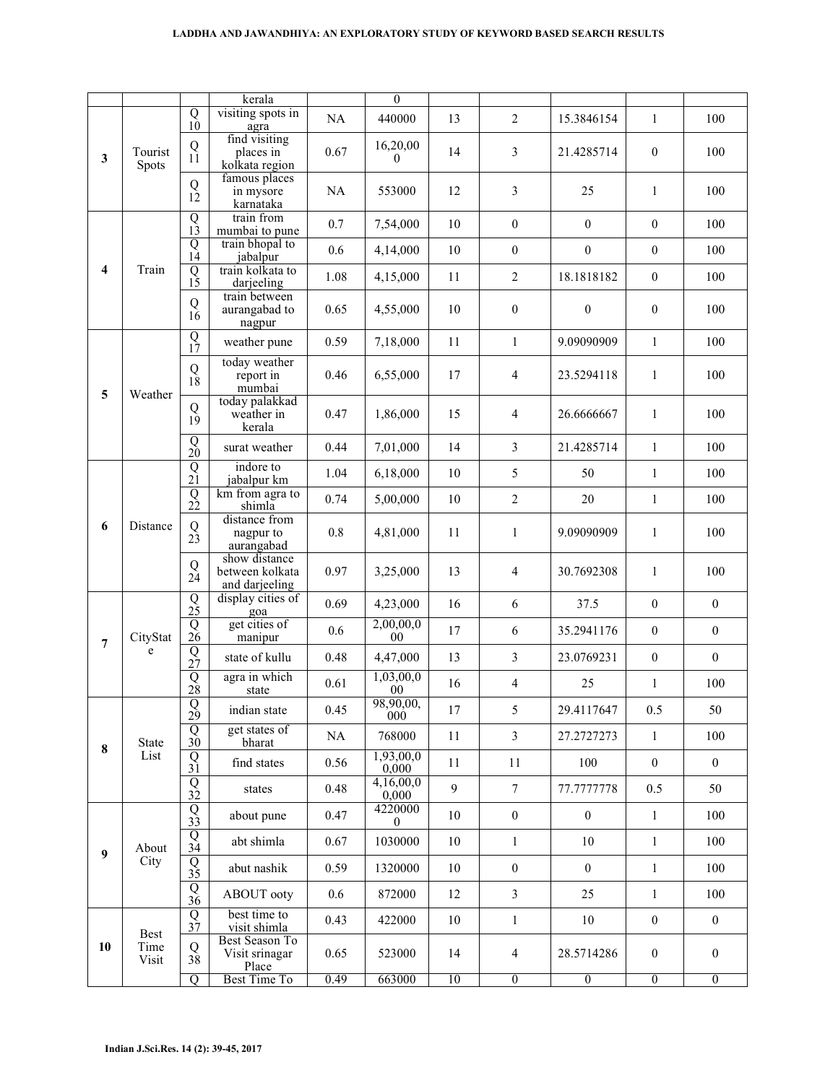### **LADDHA AND JAWANDHIYA: AN EXPLORATORY STUDY OF KEYWORD BASED SEARCH RESULTS**

| $\mathbf{3}$   | Tourist<br><b>Spots</b>      | $\begin{matrix} Q \\ 10 \end{matrix}$       | kerala<br>visiting spots in                        | NA   | $\overline{0}$<br>440000    | 13 | $\overline{2}$   | 15.3846154       | 1                | 100              |
|----------------|------------------------------|---------------------------------------------|----------------------------------------------------|------|-----------------------------|----|------------------|------------------|------------------|------------------|
|                |                              |                                             | agra<br>find visiting                              |      |                             |    |                  |                  |                  |                  |
|                |                              | Q<br>11                                     | places in<br>kolkata region                        | 0.67 | 16,20,00<br>$\overline{0}$  | 14 | 3                | 21.4285714       | $\boldsymbol{0}$ | 100              |
|                |                              | $\begin{smallmatrix}Q\\12\end{smallmatrix}$ | famous places<br>in mysore<br>karnataka            | NA   | 553000                      | 12 | 3                | 25               | 1                | 100              |
| 4              | Train                        | $\overline{Q}$<br>$1\overline{3}$           | train from<br>mumbai to pune                       | 0.7  | 7,54,000                    | 10 | $\boldsymbol{0}$ | $\boldsymbol{0}$ | $\boldsymbol{0}$ | 100              |
|                |                              | $\overline{Q}$<br>14                        | train bhopal to<br>jabalpur                        | 0.6  | 4,14,000                    | 10 | $\boldsymbol{0}$ | $\boldsymbol{0}$ | $\boldsymbol{0}$ | 100              |
|                |                              | $\overline{Q}$<br>15                        | train kolkata to<br>darjeeling                     | 1.08 | 4,15,000                    | 11 | $\overline{2}$   | 18.1818182       | $\mathbf{0}$     | 100              |
|                |                              | Q<br>$1\tilde{6}$                           | train between<br>aurangabad to<br>nagpur           | 0.65 | 4,55,000                    | 10 | $\boldsymbol{0}$ | $\boldsymbol{0}$ | $\mathbf{0}$     | 100              |
|                | Weather                      | $\overline{Q}$<br>17                        | weather pune                                       | 0.59 | 7,18,000                    | 11 | $\mathbf{1}$     | 9.09090909       | $\mathbf{1}$     | 100              |
| 5              |                              | ${\bf Q}$<br>18                             | today weather<br>report in<br>mumbai               | 0.46 | 6,55,000                    | 17 | $\overline{4}$   | 23.5294118       | 1                | 100              |
|                |                              | Q<br>$1\tilde{9}$                           | today palakkad<br>weather in<br>kerala             | 0.47 | 1,86,000                    | 15 | $\overline{4}$   | 26.6666667       | $\mathbf{1}$     | 100              |
|                |                              | $\overline{Q}$ <sub>20</sub>                | surat weather                                      | 0.44 | 7,01,000                    | 14 | 3                | 21.4285714       | $\mathbf{1}$     | 100              |
|                | Distance                     | $\overline{Q}$ <sub>21</sub>                | indore to<br>jabalpur km                           | 1.04 | 6,18,000                    | 10 | 5                | 50               | $\mathbf{1}$     | 100              |
|                |                              | $\overline{Q}$ <sub>22</sub>                | km from agra to<br>shimla                          | 0.74 | 5,00,000                    | 10 | $\overline{2}$   | 20               | $\mathbf{1}$     | 100              |
| 6              |                              | Q<br>$2\overline{3}$                        | distance from<br>nagpur to<br>aurangabad           | 0.8  | 4,81,000                    | 11 | $\mathbf{1}$     | 9.09090909       | $\mathbf{1}$     | 100              |
|                |                              | Q<br>$2\tilde{4}$                           | show distance<br>between kolkata<br>and darjeeling | 0.97 | 3,25,000                    | 13 | $\overline{4}$   | 30.7692308       | $\mathbf{1}$     | 100              |
|                | CityStat<br>e                | $rac{Q}{25}$                                | display cities of<br>goa                           | 0.69 | 4,23,000                    | 16 | 6                | 37.5             | $\mathbf{0}$     | $\mathbf{0}$     |
| $\overline{7}$ |                              | $\overline{Q}$<br>$2\tilde{6}$              | get cities of<br>manipur                           | 0.6  | 2,00,00,0<br>0 <sup>0</sup> | 17 | 6                | 35.2941176       | $\boldsymbol{0}$ | $\boldsymbol{0}$ |
|                |                              | $\overline{Q}$<br>27                        | state of kullu                                     | 0.48 | 4,47,000                    | 13 | 3                | 23.0769231       | $\boldsymbol{0}$ | $\boldsymbol{0}$ |
|                |                              | $\overline{Q}$<br>28                        | agra in which<br>state                             | 0.61 | 1,03,00,0<br>$00\,$         | 16 | $\overline{4}$   | 25               | $\mathbf{1}$     | 100              |
|                | State<br>List                | $\begin{smallmatrix}Q\\29\end{smallmatrix}$ | indian state                                       | 0.45 | 98,90,00,<br>000            | 17 | 5                | 29.4117647       | 0.5              | 50               |
| 8              |                              | Q<br>30 <sup>°</sup>                        | get states of<br>bharat                            | NA   | 768000                      | 11 | $\overline{3}$   | 27.2727273       | $\mathbf{1}$     | 100              |
|                |                              | $\frac{Q}{31}$                              | find states                                        | 0.56 | 1,93,00,0<br>0,000          | 11 | 11               | 100              | $\boldsymbol{0}$ | $\overline{0}$   |
|                |                              | $rac{Q}{32}$                                | states                                             | 0.48 | 4,16,00,0<br>0,000          | 9  | $\tau$           | 77.7777778       | 0.5              | 50               |
| 9              | About<br>City                | $rac{Q}{33}$                                | about pune                                         | 0.47 | 4220000<br>$\theta$         | 10 | $\boldsymbol{0}$ | $\boldsymbol{0}$ | $\mathbf{1}$     | 100              |
|                |                              | $\overline{Q}$<br>34                        | abt shimla                                         | 0.67 | 1030000                     | 10 | $\mathbf{1}$     | 10               | 1                | 100              |
|                |                              | $rac{Q}{35}$                                | abut nashik                                        | 0.59 | 1320000                     | 10 | $\boldsymbol{0}$ | $\mathbf{0}$     | $\mathbf{1}$     | 100              |
|                |                              | Q<br>36                                     | ABOUT ooty                                         | 0.6  | 872000                      | 12 | 3                | 25               | $\mathbf{1}$     | 100              |
| 10             | <b>Best</b><br>Time<br>Visit | $\overline{Q}$<br>37                        | best time to<br>visit shimla                       | 0.43 | 422000                      | 10 | $\mathbf{1}$     | 10               | $\boldsymbol{0}$ | $\mathbf{0}$     |
|                |                              | Q<br>$3\tilde{8}$                           | <b>Best Season To</b><br>Visit srinagar<br>Place   | 0.65 | 523000                      | 14 | $\overline{4}$   | 28.5714286       | $\mathbf{0}$     | $\overline{0}$   |
|                |                              | $\overline{Q}$                              | <b>Best Time To</b>                                | 0.49 | 663000                      | 10 | $\overline{0}$   | $\overline{0}$   | $\overline{0}$   | $\overline{0}$   |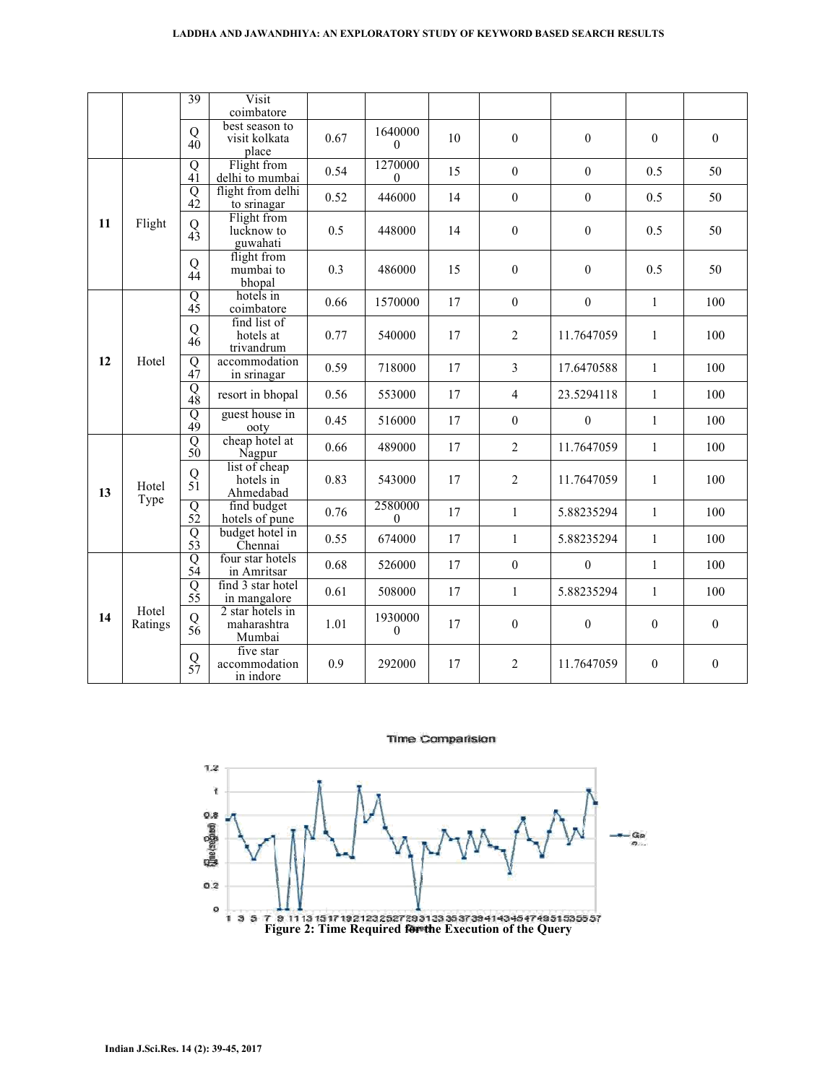#### **LADDHA AND JAWANDHIYA: AN EXPLORATORY STUDY OF KEYWORD BASED SEARCH RESULTS**

|    |                  | 39                                      | Visit<br>coimbatore                       |      |                             |    |                  |                  |                  |                  |
|----|------------------|-----------------------------------------|-------------------------------------------|------|-----------------------------|----|------------------|------------------|------------------|------------------|
|    |                  | Q<br>$40^{\circ}$                       | best season to<br>visit kolkata<br>place  | 0.67 | 1640000<br>$\theta$         | 10 | $\boldsymbol{0}$ | $\mathbf{0}$     | $\mathbf{0}$     | 0                |
| 11 | Flight           | $\overline{Q}$<br>$4\tilde{1}$          | Flight from<br>delhi to mumbai            | 0.54 | 1270000<br>$\Omega$         | 15 | $\boldsymbol{0}$ | $\mathbf{0}$     | 0.5              | 50               |
|    |                  | $\overline{Q}$<br>$\overrightarrow{42}$ | flight from delhi<br>to srinagar          | 0.52 | 446000                      | 14 | $\mathbf{0}$     | $\boldsymbol{0}$ | 0.5              | 50               |
|    |                  | ${\bf Q}$<br>$4\tilde{3}$               | Flight from<br>lucknow to<br>guwahati     | 0.5  | 448000                      | 14 | $\boldsymbol{0}$ | $\boldsymbol{0}$ | 0.5              | 50               |
|    |                  | Q<br>44                                 | flight from<br>mumbai to<br>bhopal        | 0.3  | 486000                      | 15 | $\boldsymbol{0}$ | $\boldsymbol{0}$ | 0.5              | 50               |
|    | Hotel            | $\overline{Q}$<br>$4\overline{5}$       | hotels in<br>coimbatore                   | 0.66 | 1570000                     | 17 | $\boldsymbol{0}$ | $\mathbf{0}$     | $\mathbf{1}$     | 100              |
| 12 |                  | Q<br>46                                 | find list of<br>hotels at<br>trivandrum   | 0.77 | 540000                      | 17 | $\overline{2}$   | 11.7647059       | $\mathbf{1}$     | 100              |
|    |                  | $\overline{Q}$<br>$4\tilde{7}$          | accommodation<br>in srinagar              | 0.59 | 718000                      | 17 | $\overline{3}$   | 17.6470588       | $\mathbf{1}$     | 100              |
|    |                  | $\overline{Q}$<br>$\overrightarrow{48}$ | resort in bhopal                          | 0.56 | 553000                      | 17 | $\overline{4}$   | 23.5294118       | $\mathbf{1}$     | 100              |
|    |                  | $\overline{Q}$<br>$\overrightarrow{49}$ | guest house in<br>ooty                    | 0.45 | 516000                      | 17 | $\boldsymbol{0}$ | $\boldsymbol{0}$ | $\mathbf{1}$     | 100              |
| 13 | Hotel<br>Type    | $\frac{Q}{50}$                          | cheap hotel at<br>Nagpur                  | 0.66 | 489000                      | 17 | $\overline{c}$   | 11.7647059       | $\mathbf{1}$     | 100              |
|    |                  | Q<br>5 <sup>1</sup>                     | list of cheap<br>hotels in<br>Ahmedabad   | 0.83 | 543000                      | 17 | $\overline{2}$   | 11.7647059       | $\mathbf{1}$     | 100              |
|    |                  | $\frac{Q}{52}$                          | find budget<br>hotels of pune             | 0.76 | 2580000<br>$\boldsymbol{0}$ | 17 | $\mathbf{1}$     | 5.88235294       | $\mathbf{1}$     | 100              |
|    |                  | $\overline{Q}$<br>53                    | budget hotel in<br>Chennai                | 0.55 | 674000                      | 17 | $\mathbf{1}$     | 5.88235294       | $\mathbf{1}$     | 100              |
| 14 | Hotel<br>Ratings | $\overline{Q}$<br>$5\tilde{4}$          | four star hotels<br>in Amritsar           | 0.68 | 526000                      | 17 | $\boldsymbol{0}$ | $\boldsymbol{0}$ | $\mathbf{1}$     | 100              |
|    |                  | Q<br>$5\overline{5}$                    | find 3 star hotel<br>in mangalore         | 0.61 | 508000                      | 17 | $\mathbf{1}$     | 5.88235294       | $\mathbf{1}$     | 100              |
|    |                  | $\frac{Q}{56}$                          | 2 star hotels in<br>maharashtra<br>Mumbai | 1.01 | 1930000<br>$\mathbf{0}$     | 17 | $\boldsymbol{0}$ | $\boldsymbol{0}$ | $\boldsymbol{0}$ | $\boldsymbol{0}$ |
|    |                  | $\frac{Q}{57}$                          | five star<br>accommodation<br>in indore   | 0.9  | 292000                      | 17 | $\overline{2}$   | 11.7647059       | $\mathbf{0}$     | $\mathbf{0}$     |

#### Time Comparision

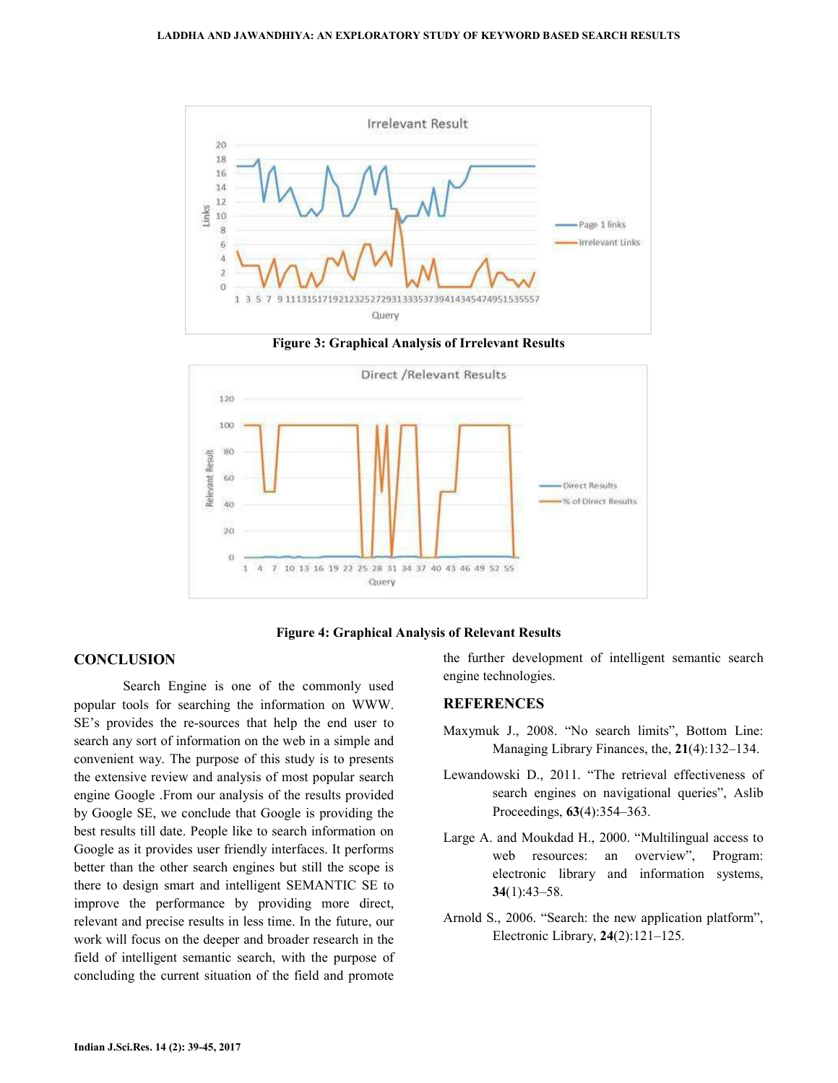

**Figure 3: Graphical Analysis of Irrelevant Results** 



### **Figure 4: Graphical Analysis of Relevant Results**

# **CONCLUSION**

 Search Engine is one of the commonly used popular tools for searching the information on WWW. SE's provides the re-sources that help the end user to search any sort of information on the web in a simple and convenient way. The purpose of this study is to presents the extensive review and analysis of most popular search engine Google .From our analysis of the results provided by Google SE, we conclude that Google is providing the best results till date. People like to search information on Google as it provides user friendly interfaces. It performs better than the other search engines but still the scope is there to design smart and intelligent SEMANTIC SE to improve the performance by providing more direct, relevant and precise results in less time. In the future, our work will focus on the deeper and broader research in the field of intelligent semantic search, with the purpose of concluding the current situation of the field and promote

the further development of intelligent semantic search engine technologies.

### **REFERENCES**

- Maxymuk J., 2008. "No search limits", Bottom Line: Managing Library Finances, the, **21**(4):132–134.
- Lewandowski D., 2011. "The retrieval effectiveness of search engines on navigational queries", Aslib Proceedings, **63**(4):354–363.
- Large A. and Moukdad H., 2000. "Multilingual access to web resources: an overview", Program: electronic library and information systems, **34**(1):43–58.
- Arnold S., 2006. "Search: the new application platform", Electronic Library, **24**(2):121–125.